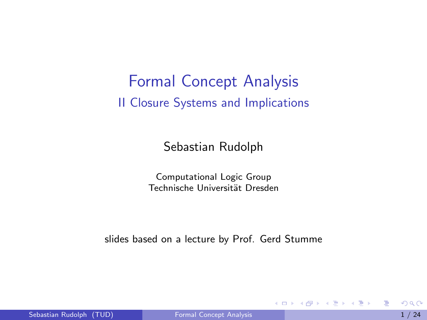## Formal Concept Analysis II Closure Systems and Implications

Sebastian Rudolph

Computational Logic Group Technische Universität Dresden

slides based on a lecture by Prof. Gerd Stumme

<span id="page-0-0"></span> $\mathbf{A} = \mathbf{A} \oplus \mathbf{A} \oplus \mathbf{A} \oplus \mathbf{A}$ 

4 日下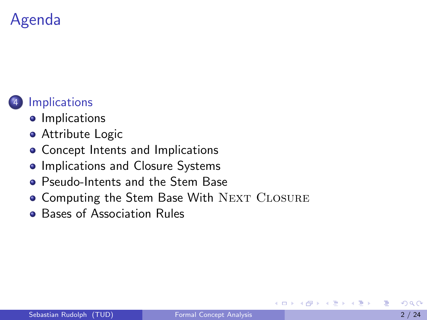# Agenda

## **[Implications](#page-1-0)**

- **•** [Implications](#page-2-0)
- **•** [Attribute Logic](#page-3-0)
- [Concept Intents and Implications](#page-4-0)
- **[Implications and Closure Systems](#page-5-0)**
- [Pseudo-Intents and the Stem Base](#page-7-0)
- [Computing the Stem Base With](#page-12-0) NEXT CLOSURE
- <span id="page-1-0"></span>**• [Bases of Association Rules](#page-14-0)**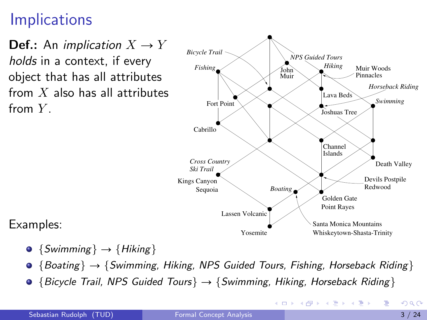## **Implications**

**Def.:** An implication  $X \to Y$ holds in a context, if every object that has all attributes from  $X$  also has all attributes from  $Y_{\perp}$ 



<span id="page-2-0"></span> $\left\{ \begin{array}{ccc} 1 & 0 & 0 \\ 0 & 1 & 0 \end{array} \right.$ 

Examples:

- $\bullet$  {Swimming}  $\rightarrow$  {Hiking}
- $\bullet$  {Boating}  $\rightarrow$  {Swimming, Hiking, NPS Guided Tours, Fishing, Horseback Riding }
- $\bullet$  {Bicycle Trail, NPS Guided Tours}  $\rightarrow$  {Swimming, Hiking, Horseback Riding}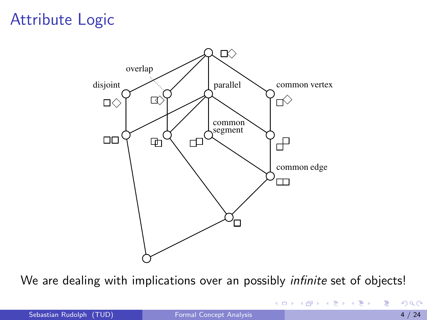## Attribute Logic



We are dealing with implications over an possibly *infinite* set of objects!

<span id="page-3-0"></span>イロト イ母 トイヨ トイヨト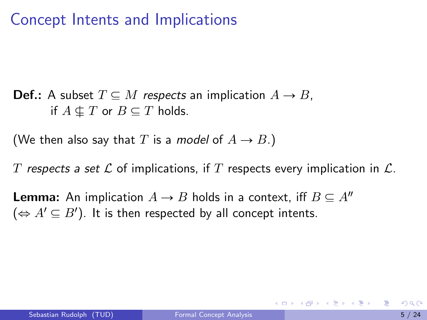## Concept Intents and Implications

**Def.:** A subset  $T \subseteq M$  respects an implication  $A \rightarrow B$ , if  $A \nsubseteq T$  or  $B \subseteq T$  holds.

(We then also say that T is a *model* of  $A \rightarrow B$ .)

T respects a set L of implications, if T respects every implication in  $\mathcal{L}$ .

**Lemma:** An implication  $A \rightarrow B$  holds in a context, iff  $B \subseteq A''$  $(\Leftrightarrow A' \subseteq B')$ . It is then respected by all concept intents.

<span id="page-4-0"></span>イロト イ押ト イヨト イヨトー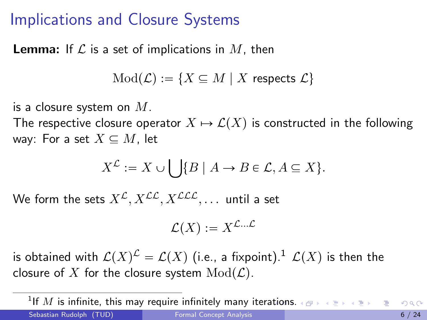## Implications and Closure Systems

**Lemma:** If  $\mathcal L$  is a set of implications in  $M$ , then

 $Mod(\mathcal{L}) := \{X \subseteq M \mid X \text{ respects } \mathcal{L}\}\$ 

is a closure system on  $M$ .

The respective closure operator  $X \mapsto \mathcal{L}(X)$  is constructed in the following way: For a set  $X \subseteq M$ , let

$$
X^{\mathcal{L}} := X \cup \bigcup \{ B \mid A \to B \in \mathcal{L}, A \subseteq X \}.
$$

We form the sets  $X^{\mathcal{L}}, X^{\mathcal{LL}}, X^{\mathcal{LL}}$ , ... until a set

<span id="page-5-0"></span>
$$
\mathcal{L}(X) := X^{\mathcal{L} \dots \mathcal{L}}
$$

is obtained with  $\mathcal{L}(X)^{\mathcal{L}}=\mathcal{L}(X)$  (i.e., a fixpoint). $^{1}$   $\mathcal{L}(X)$  is then the closure of X for the closure system  $Mod(\mathcal{L})$ .

 $^{1}$ If  $M$  is infinite, this may require infinitely many iter[atio](#page-4-0)[ns.](#page-6-0) Sebastian Rudolph (TUD) [Formal Concept Analysis](#page-0-0) 6 / 24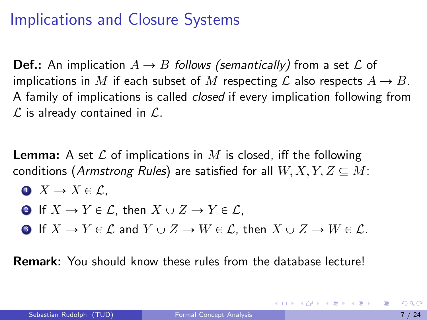## Implications and Closure Systems

**Def.:** An implication  $A \rightarrow B$  follows (semantically) from a set L of implications in M if each subset of M respecting  $\mathcal L$  also respects  $A \to B$ . A family of implications is called closed if every implication following from  $\mathcal L$  is already contained in  $\mathcal L$ .

**Lemma:** A set  $\mathcal L$  of implications in M is closed, iff the following conditions (Armstrong Rules) are satisfied for all  $W, X, Y, Z \subseteq M$ :

$$
\bullet \ \ X \to X \in \mathcal{L},
$$

• If 
$$
X \to Y \in \mathcal{L}
$$
, then  $X \cup Z \to Y \in \mathcal{L}$ ,

**3** If  $X \to Y \in \mathcal{L}$  and  $Y \cup Z \to W \in \mathcal{L}$ , then  $X \cup Z \to W \in \mathcal{L}$ .

Remark: You should know these rules from the database lecture!

<span id="page-6-0"></span>제 ロン 제 御 에 제 결 에 제 결 사 ... 결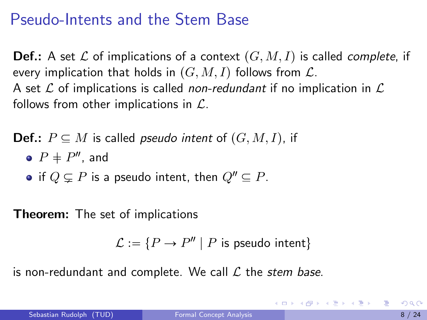## Pseudo-Intents and the Stem Base

**Def.:** A set  $\mathcal L$  of implications of a context  $(G, M, I)$  is called *complete*, if every implication that holds in  $(G, M, I)$  follows from  $\mathcal{L}$ . A set  $\mathcal L$  of implications is called non-redundant if no implication in  $\mathcal L$ follows from other implications in  $\mathcal{L}$ .

**Def.:**  $P \subseteq M$  is called *pseudo intent* of  $(G, M, I)$ , if

- $P$   $\neq$   $P''$ , and
- if  $Q \subseteq P$  is a pseudo intent, then  $Q'' \subseteq P$ .

Theorem: The set of implications

$$
\mathcal{L} := \{ P \to P'' \mid P \text{ is pseudo intent} \}
$$

is non-redundant and complete. We call  $\mathcal L$  the stem base.

<span id="page-7-0"></span>KONKAPIK KENYEN E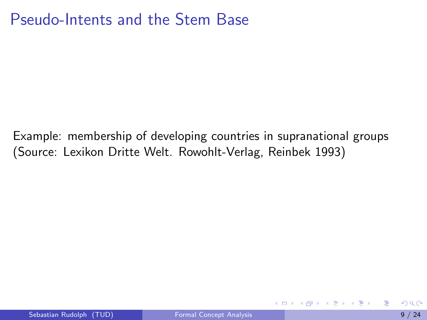## Pseudo-Intents and the Stem Base

Example: membership of developing countries in supranational groups (Source: Lexikon Dritte Welt. Rowohlt-Verlag, Reinbek 1993)

4 日下

 $\triangleright$  and  $\exists$  in a set  $\exists$  in a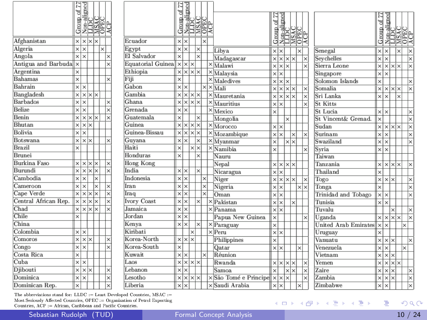| Afghanistan          | $\times$ | $\times$ | $\times$                   | $\times$ |          |                         |
|----------------------|----------|----------|----------------------------|----------|----------|-------------------------|
| Algeria              | $\times$ | $\times$ |                            |          | $\times$ |                         |
| Angola               | $\times$ | $\times$ |                            |          |          | $\times$                |
| Antigua and Barbuda  | $\times$ |          |                            |          |          | ×                       |
| Argentina            | $\times$ |          |                            |          |          |                         |
| Bahamas              | $\times$ |          |                            |          |          | ×                       |
| Bahrain              | $\times$ | $\times$ |                            |          |          |                         |
| Bangladesh           | ×        |          | $\times$ $\times$ $\times$ |          |          |                         |
| Barbados             | $\times$ | $\times$ |                            |          |          | $\times$                |
| <b>Belize</b>        | $\times$ | $\times$ |                            |          |          | $\times$                |
| Benin                | ×        |          | $\times$ $\times$ $\times$ |          |          | $\times$                |
| Bhutan               | ×        | x x      |                            |          |          |                         |
| <b>Bolivia</b>       | $\times$ | $\times$ |                            |          |          |                         |
| Botswana             | ×        |          | $\times$ $\times$          |          |          | $\times$                |
| Brazil               | $\times$ |          |                            |          |          |                         |
| <b>Brunei</b>        |          |          |                            |          |          |                         |
| <b>Burkina</b> Faso  | ×        | $\times$ | lxlx                       |          |          | ×                       |
| Burundi              | ×        | $\times$ | $\times$ $\times$          |          |          | $\times$                |
| Cambodia             | $\times$ | $\times$ |                            | $\times$ |          |                         |
| Cameroon             | ×        | $\times$ |                            | $\times$ |          | $\times$                |
| Cape Verde           | ×        |          | $x \times x$               |          |          | $\overline{\mathsf{x}}$ |
| Central African Rep. | $\times$ |          | $\times$ $\times$          | $\times$ |          | $\times$                |
| Chad                 | ×        | $\times$ | $\times$                   | $\times$ |          | $\times$                |
| Chile                | $\times$ |          |                            |          |          |                         |
| China                |          |          |                            |          |          |                         |
| Colombia             | ×        | $\times$ |                            |          |          |                         |
| Comoros              | $\times$ | $\times$ | ×                          |          |          | ×                       |
| Congo                | $\times$ | $\times$ |                            |          |          | ×                       |
| Costa Rica           | ×        |          |                            |          |          |                         |
| Cuba                 | $\times$ | $\times$ |                            |          |          |                         |
| Djibouti             | $\times$ | $\times$ | ×                          |          |          | ×                       |
| Dominica             | ×        | $\times$ |                            |          |          | ×                       |
| Dominican Rep.       | $\times$ |          |                            |          |          | ×                       |

|                                          | Group of 77       | $\frac{\frac{\text{Non-aligned}}{\text{LLDC}}}{\frac{\text{MSAC}}{\text{APC}}}$ |                       |                    |                         |                        | 뉭<br>Group              | Non-aligned<br>LLDC        |                   | <b>NSAC</b><br>OPEC     |          |          |                             |
|------------------------------------------|-------------------|---------------------------------------------------------------------------------|-----------------------|--------------------|-------------------------|------------------------|-------------------------|----------------------------|-------------------|-------------------------|----------|----------|-----------------------------|
| Ecuador                                  | $\times$ $\times$ |                                                                                 |                       |                    | $\overline{\mathbf{x}}$ |                        |                         |                            |                   |                         |          |          |                             |
| Egypt                                    | $\times$ $\times$ |                                                                                 |                       | $\times$           |                         | Libya                  | $\times$ $\times$       |                            |                   |                         | $\times$ |          | Senegal                     |
| <b>El Salvador</b>                       | $\times$          |                                                                                 |                       | $\times$           |                         | Madagascar             |                         | $x \times x \times x$      |                   |                         |          | $\times$ | Sevchelles                  |
| Equatorial Guinea $\  \times   \times  $ |                   |                                                                                 |                       |                    |                         | $\times$ Malawi        |                         | xlxlx                      |                   |                         |          | $\times$ | Sierra Leone                |
| Ethiopia                                 |                   | <b>x</b> x x x                                                                  |                       |                    |                         | ×Malaysia              | $\times$ $\times$       |                            |                   |                         |          |          | Singapore                   |
| Fiji                                     | $\times$          |                                                                                 |                       |                    |                         | $\times$ Maledives     |                         | $x \times x$               |                   |                         |          |          | Solomon Islands             |
| Gabon                                    | xlx               |                                                                                 |                       |                    |                         | $\times$ $\times$ Mali |                         | x x x                      |                   |                         |          | $\times$ | Somalia                     |
| Gambia                                   |                   | x x x                                                                           |                       |                    |                         | $\times$ Mauretania    | $\times$                | $x \times x$               |                   |                         |          | $\times$ | Sri Lanka                   |
| Ghana                                    |                   | xlxlxlx                                                                         |                       |                    |                         | $\times$ Mauritius     | $x\overline{x}$         |                            |                   |                         |          | $\times$ | <b>St. Kitts</b>            |
| Grenada                                  |                   | $\times$ l $\times$                                                             |                       |                    |                         | $\times$ Mexico        | $\times$                |                            |                   |                         |          |          | St. Lucia                   |
| Guatemala                                | $\times$          |                                                                                 |                       | $\times$           |                         | Mongolia               |                         |                            | $\times$          |                         |          |          | St Vincent& Grenad.         |
| <b>Guinea</b>                            |                   | $x \times x$                                                                    |                       | $\mathsf{I}\times$ |                         | $\times$ Morocco       | $\times$ $\times$       |                            |                   |                         |          |          | Sudan                       |
| Guinea-Bissau                            | $\times$          | $x \times x$                                                                    |                       |                    |                         | $\times$ Mozambique    | x x                     |                            |                   | $\times$                |          | $\times$ | Surinam                     |
| Guyana                                   | $\times$ $\times$ |                                                                                 |                       | $\times$           |                         | $\times$ Myanmar       | $\times$                |                            | $\times$          | $\overline{\mathbf{x}}$ |          |          | Swaziland                   |
| Haiti                                    | $\times$          |                                                                                 | $\times$              | $\times$           |                         | $\times$ Namibia       | $\times$                |                            |                   |                         |          | $\times$ | Syria                       |
| <b>Honduras</b>                          | $\times$          |                                                                                 |                       | $\times$           |                         | Nauru                  |                         |                            |                   |                         |          |          | Taiwan                      |
| <b>Hong Kong</b>                         |                   |                                                                                 |                       |                    |                         | Nepal                  |                         | $\times$ $\times$ $\times$ |                   |                         |          |          | Tanzania                    |
| ndia                                     | $\times$ $\times$ |                                                                                 |                       | $\times$           |                         | Nicaragua              |                         | $\overline{\times}$        |                   |                         |          |          | Thailand                    |
| ndonesia                                 | $\times$          | ×                                                                               |                       |                    | $\times$                | Niger                  | $\overline{\mathsf{x}}$ | x x                        |                   |                         |          | $\times$ | Togo                        |
| ran                                      | ×                 | $\times$                                                                        |                       |                    | $\times$                | Nigeria                | $\times$                | l×                         |                   |                         | $\times$ | Ι×       | Tonga                       |
| raq                                      | $\times$          | $\times$                                                                        |                       |                    | $\times$                | Oman                   | $\times$                | lx                         |                   |                         |          |          | Trinidad and Tobago         |
| vory Coast                               | $\times$          | $\times$                                                                        |                       | $\times$           |                         | $\times$ Pakistan      | $\overline{\mathsf{x}}$ | $\overline{\mathbf{x}}$    |                   | $\times$                |          |          | Tunisia                     |
| Jamaica                                  | $\times$          | $\times$                                                                        |                       |                    |                         | $\times$ Panama        | $\times$ $\times$       |                            |                   |                         |          |          | Tuvalu                      |
| <b>Jordan</b>                            | $\times$          | $\times$                                                                        |                       |                    |                         | Papua New Guinea       | $\overline{\mathsf{x}}$ |                            |                   |                         |          | $\times$ | Uganda                      |
| Kenya                                    | $x \overline{x}$  |                                                                                 |                       | $\times$           |                         | $\times$ Paraguay      | $\overline{\mathsf{x}}$ |                            |                   |                         |          |          | <b>United Arab Emirates</b> |
| Kiribati                                 |                   |                                                                                 | $\times$              |                    |                         | $\times$ Peru          | xlx                     |                            |                   |                         |          |          | Uruguay                     |
| Korea-North                              |                   | $x \times x$                                                                    |                       |                    |                         | Philippines            | $\times$                |                            |                   |                         |          |          | Vanuatu                     |
| Korea-South                              | $\times$          |                                                                                 |                       |                    |                         | Oatar                  |                         | $\times$ $\times$          |                   |                         | $\times$ |          | Venezuela                   |
| Kuwait                                   | $\times$ $\times$ |                                                                                 |                       |                    | $\times$                | Réunion                |                         |                            |                   |                         |          |          | Vietnam                     |
| Laos                                     |                   | x x x                                                                           |                       |                    |                         | Rwanda                 |                         | x x x                      |                   |                         |          | $\times$ | Yemen                       |
| Lebanon                                  |                   | ×l×                                                                             |                       |                    |                         | Samoa                  | $\overline{\mathsf{x}}$ |                            | $\times$ $\times$ |                         |          | $\times$ | Zaire                       |
| Lesotho                                  | $\times$          |                                                                                 | $x$ $\times$ $\times$ |                    |                         | ×São Tomé e Principe   |                         | x x                        |                   |                         |          | $\times$ | Zambia                      |
| Liberia                                  | $\times$          | $\times$                                                                        |                       |                    |                         | ×Saudi Arabia          |                         | $\times$ $\times$          |                   |                         | $\times$ |          | Zimbabwe                    |

The abbreviations stand for: LLDC := Least Developed Countries, MSAC := Most Seriously Affected Countries, OPEC := Organization of Petrol Exporting Countries, ACP := African, Caribbean and Pacific Countries.

Sebastian Rudolph (TUD) The [Formal Concept Analysis](#page-0-0) 10 / 24

of 77 igned roup ē  $\times$ U  $\overline{\mathbf{x}}$ Ι×

 $\overline{\mathsf{x}}$  $|x|x|$  $\times$ 

 $\overline{\mathsf{x}}$ Ι×  $\times$ 

<u>XX</u> Тx

 $\times$  $\overline{\mathsf{x}}$ 

Ι×  $\overline{\mathsf{x}}$  $\times$ 

 $\times$ 

 $\overline{\mathsf{x}}$ **x** l x

 $\overline{\mathbf{x}}$ 

 $\overline{\mathbf{x}}$ Ι×  $x \times x \times x$ Ι×

 $\overline{\mathsf{x}}$  $\overline{\mathsf{x}}$  $\times$  $\times$  $\times$ 

 $\times$ 

 $\overline{\mathsf{x}}$  $\times$ 

 $\overline{\mathsf{x}}$ ×  $\overline{\mathsf{x}}$  $\overline{\mathsf{x}}$ 

 $\times$  $x \times x$ l×

 $\overline{\mathbf{x}}$  $\mathbf{\times}$ l×.

 $\overline{\mathsf{x}}$  $\overline{\mathsf{x}}$  $|x|$  $\times$ 

 $\overline{\mathbf{x}}$  $|x|$  $x$   $x$   $x$   $x$  $\frac{1}{\mathsf{x}}$  $x|x$  $\times$ 

 $\overline{\mathbf{x}}$ Ι×  $\mathbf{\times}$  $\times$ 

v

重

イロト イ部 トイヨ トイヨト

 $\times$   $\times$ lx  $\times$ 

 $\times$  $x \times x \times x$ lx

 $\times$ 

 $\overline{\mathsf{x}}$ 

 $\times$ 

lx

 $\times$ 

 $\times$ 

 $\overline{\mathsf{x}}$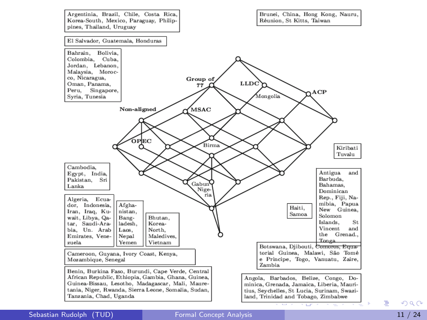

÷,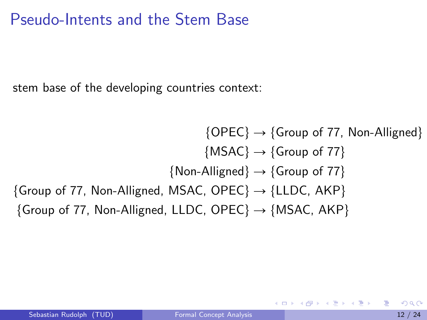## Pseudo-Intents and the Stem Base

stem base of the developing countries context:

```
\{OPEC\} \rightarrow {Group of 77, Non-Alligned}
                                        \{MSAC\} \rightarrow \{Group\ of\ 77\}{Non-Alligned} \rightarrow {Group of 77}
{Group of 77, Non-Alligned, MSAC, OPEC} \rightarrow {LLDC, AKP}
{Group of 77, Non-Alligned, LLDC, OPEC} \rightarrow {MSAC, AKP}
```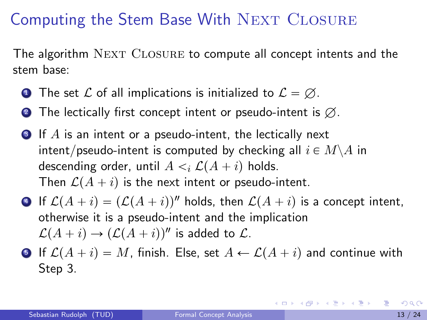## Computing the Stem Base With NEXT CLOSURE

The algorithm NEXT CLOSURE to compute all concept intents and the stem base:

- **1** The set L of all implications is initialized to  $\mathcal{L} = \emptyset$ .
- **2** The lectically first concept intent or pseudo-intent is  $\emptyset$ .
- <span id="page-12-1"></span> $\bullet$  If A is an intent or a pseudo-intent, the lectically next intent/pseudo-intent is computed by checking all  $i \in M \backslash A$  in descending order, until  $A \leq i \mathcal{L}(A + i)$  holds. Then  $\mathcal{L}(A + i)$  is the next intent or pseudo-intent.
- **•** If  $\mathcal{L}(A + i) = (\mathcal{L}(A + i))$ <sup>n</sup> holds, then  $\mathcal{L}(A + i)$  is a concept intent, otherwise it is a pseudo-intent and the implication  $\mathcal{L}(A + i) \rightarrow (\mathcal{L}(A + i))''$  is added to  $\mathcal{L}$ .
- **•** If  $\mathcal{L}(A + i) = M$ , finish. Else, set  $A \leftarrow \mathcal{L}(A + i)$  and continue with Step [3.](#page-12-1)

<span id="page-12-0"></span>K ロ X x @ X x 할 X x 할 X → 할 X → 9 Q Q →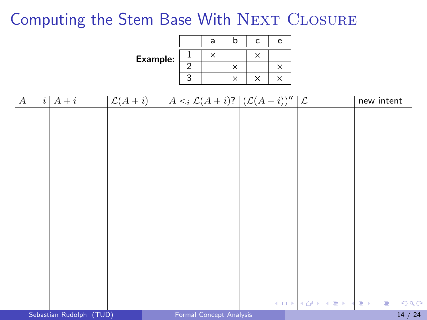## Computing the Stem Base With NEXT CLOSURE

|          |                       |                                                                                |                                                 | $\mathsf{a}$ | b                    | $\mathsf c$          | $\mathsf{e}% _{t}\left( t\right)$ |  |            |                               |
|----------|-----------------------|--------------------------------------------------------------------------------|-------------------------------------------------|--------------|----------------------|----------------------|-----------------------------------|--|------------|-------------------------------|
|          |                       | Example:                                                                       | $\mathbf 1$<br>$\overline{2}$<br>$\overline{3}$ | $\times$     | $\times$<br>$\times$ | $\times$<br>$\times$ | $\times$<br>$\times$              |  |            |                               |
| $\bm{A}$ | $\vert i \vert A + i$ | $\mathcal{L}(A+i)$ $A \leq i \mathcal{L}(A+i)$ ? $\mathcal{L}(A+i)\mathcal{V}$ |                                                 |              |                      |                      |                                   |  | new intent |                               |
|          |                       |                                                                                |                                                 |              |                      |                      |                                   |  |            |                               |
|          |                       |                                                                                |                                                 |              |                      |                      |                                   |  |            |                               |
|          |                       |                                                                                |                                                 |              |                      |                      |                                   |  |            |                               |
|          |                       |                                                                                |                                                 |              |                      |                      |                                   |  |            |                               |
|          |                       |                                                                                |                                                 |              |                      |                      |                                   |  |            |                               |
|          |                       |                                                                                |                                                 |              |                      |                      |                                   |  |            |                               |
|          |                       |                                                                                |                                                 |              |                      |                      |                                   |  |            |                               |
|          |                       |                                                                                |                                                 |              |                      |                      |                                   |  |            |                               |
|          |                       |                                                                                |                                                 |              |                      |                      |                                   |  |            | <b>KORANDA KERKER DE KORA</b> |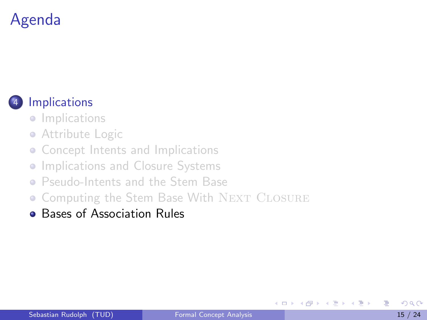# Agenda



## **[Implications](#page-1-0)**

- **•** [Implications](#page-2-0)
- **•** [Attribute Logic](#page-3-0)
- [Concept Intents and Implications](#page-4-0)
- $\bullet$ [Implications and Closure Systems](#page-5-0)
- [Pseudo-Intents and the Stem Base](#page-7-0)
- [Computing the Stem Base With](#page-12-0) NEXT CLOSURE
- **[Bases of Association Rules](#page-14-0)**

4 D F

<span id="page-14-0"></span>メスラメ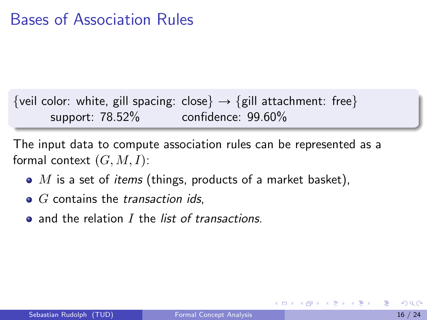{veil color: white, gill spacing: close}  $\rightarrow$  {gill attachment: free} support: 78.52% confidence: 99.60%

The input data to compute association rules can be represented as a formal context  $(G, M, I)$ :

- $\bullet$  M is a set of *items* (things, products of a market basket),
- $\bullet$   $G$  contains the *transaction ids.*
- $\bullet$  and the relation I the list of transactions.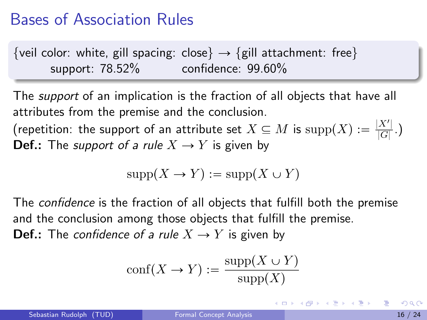{veil color: white, gill spacing: close}  $\rightarrow$  {gill attachment: free} support: 78.52% confidence: 99.60%

The *support* of an implication is the fraction of all objects that have all attributes from the premise and the conclusion.

(repetition: the support of an attribute set  $X \subseteq M$  is  $\text{supp}(X) := \frac{|X'|}{|G|}$  $\frac{A}{|G|}$ .) **Def.:** The *support of a rule*  $X \rightarrow Y$  is given by

$$
supp(X \to Y) := supp(X \cup Y)
$$

The *confidence* is the fraction of all objects that fulfill both the premise and the conclusion among those objects that fulfill the premise.

**Def.:** The confidence of a rule  $X \to Y$  is given by

$$
conf(X \to Y) := \frac{\text{supp}(X \cup Y)}{\text{supp}(X)}
$$

イロト イ母 トイヨ トイヨ トー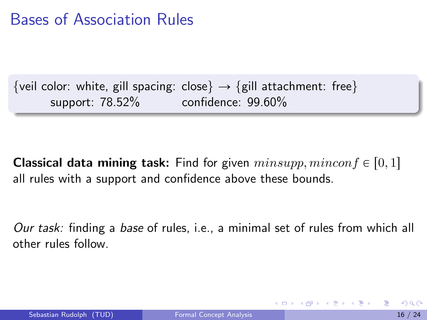{veil color: white, gill spacing: close}  $\rightarrow$  {gill attachment: free} support: 78.52% confidence: 99.60%

**Classical data mining task:** Find for given  $minsupp, minconf \in [0, 1]$ all rules with a support and confidence above these bounds.

Our task: finding a base of rules, i.e., a minimal set of rules from which all other rules follow.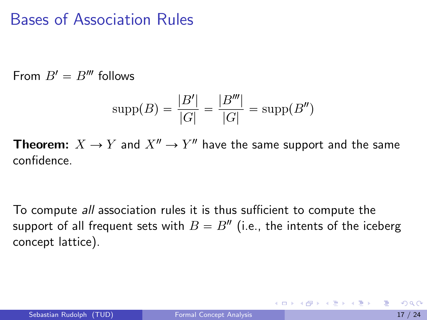From  $B' = B'''$  follows

$$
supp(B) = \frac{|B'|}{|G|} = \frac{|B'''|}{|G|} = supp(B'')
$$

**Theorem:**  $X \to Y$  and  $X'' \to Y''$  have the same support and the same confidence.

To compute all association rules it is thus sufficient to compute the support of all frequent sets with  $B=B^{\prime\prime}$  (i.e., the intents of the iceberg concept lattice).

イロト イ母 トイヨ トイヨ トー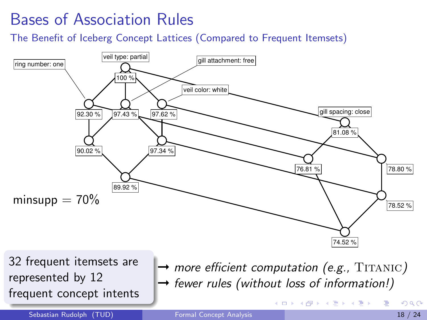The Benefit of Iceberg Concept Lattices (Compared to Frequent Itemsets)



32 frequent itemsets are represented by 12 frequent concept intents

 $\rightarrow$  more efficient computation (e.g., TITANIC)  $\rightarrow$  fewer rules (without loss of information!)

イロト イ部 トイヨ トイヨト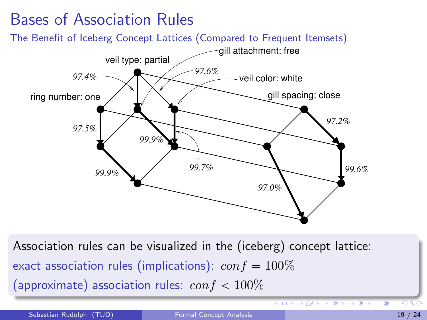

Association rules can be visualized in the (iceberg) concept lattice: exact association rules (implications):  $\omega n f = 100\%$ (approximate) association rules:  $\cos f < 100\%$ 

Sebastian Rudolph (TUD) [Formal Concept Analysis](#page-0-0) 19 / 24

 $\overline{1}$ 

4 円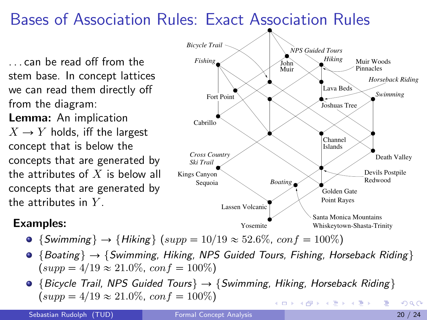## Bases of Association Rules: Exact Association Rules

. . . can be read off from the stem base. In concept lattices we can read them directly off from the diagram: Lemma: An implication  $X \rightarrow Y$  holds, iff the largest concept that is below the concepts that are generated by the attributes of  $X$  is below all concepts that are generated by the attributes in  $Y$ .

### Examples:

- {Swimming}  $\rightarrow$  {Hiking} (supp = 10/19  $\approx$  52.6%, conf = 100%)
- $\bullet$  {Boating}  $\rightarrow$  {Swimming, Hiking, NPS Guided Tours, Fishing, Horseback Riding }  $(supp = 4/19 \approx 21.0\%, conf = 100\%)$
- $\bullet$  {Bicycle Trail, NPS Guided Tours}  $\rightarrow$  {Swimming, Hiking, Horseback Riding}  $(supp = 4/19 \approx 21.0\%, conf = 100\%)$ イロメ イ部メ イ君メ イ君メー

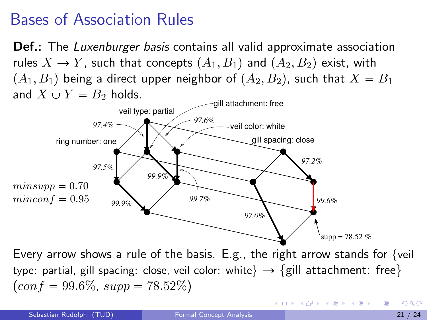**Def.:** The *Luxenburger basis* contains all valid approximate association rules  $X \to Y$ , such that concepts  $(A_1, B_1)$  and  $(A_2, B_2)$  exist, with  $(A_1, B_1)$  being a direct upper neighbor of  $(A_2, B_2)$ , such that  $X = B_1$ and  $X \cup Y = B_2$  holds.



Every arrow shows a rule of the basis. E.g., the right arrow stands for  $\{$ veil type: partial, gill spacing: close, veil color: white  $\rightarrow$  {gill attachment: free}  $(\text{conf} = 99.6\%, \text{supp} = 78.52\%)$ 

イロト イ押ト イヨト イヨト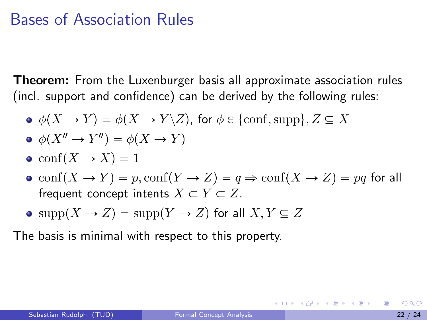**Theorem:** From the Luxenburger basis all approximate association rules (incl. support and confidence) can be derived by the following rules:

- $\phi(X \to Y) = \phi(X \to Y \backslash Z)$ , for  $\phi \in \{\text{conf}, \text{supp}\}, Z \subseteq X$
- $\phi(X'' \to Y'') = \phi(X \to Y)$
- $\bullet$  conf $(X \rightarrow X) = 1$
- $\bullet$  conf $(X \to Y) = p$ , conf $(Y \to Z) = q \Rightarrow$  conf $(X \to Z) = pq$  for all frequent concept intents  $X \subset Y \subset Z$ .
- $\bullet$  supp $(X \to Z) = \text{supp}(Y \to Z)$  for all  $X, Y \subseteq Z$

The basis is minimal with respect to this property.

イロト イ母 トイミト イミト ニヨー りんぴ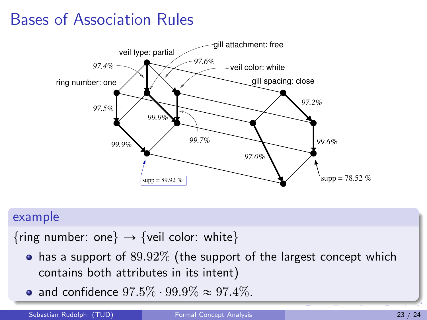

#### example

{ring number: one}  $\rightarrow$  {veil color: white}

- $\bullet$  has a support of  $89.92\%$  (the support of the largest concept which contains both attributes in its intent)
- and confidence  $97.5\% \cdot 99.9\% \approx 97.4\%.$